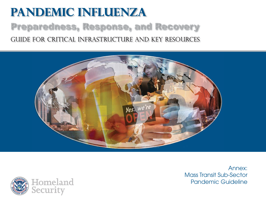# **Pandemic Influenza** Preparedness, Response, and Recovery Guide for critical infrastructure and key resources





Annex:Mass Transit Sub-Sector Pandemic Guideline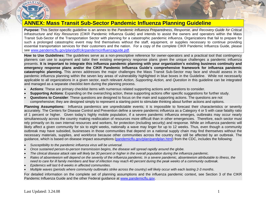

## **ANNEX: Mass Transit Sub-Sector Pandemic Influenza Planning Guideline**

**Purpose:** This Sector-specific guideline is an annex to the *Pandemic Influenza Preparedness, Response, and Recovery Guide for Critical Infrastructure and Key Resources* (CIKR Pandemic Influenza Guide) and intends to assist the owners and operators within the Mass Transit Sub-Sector of the Transportation Sector with planning for a catastrophic pandemic influenza. Organizations that fail to prepare for such a prolonged catastrophic event may find themselves without the staff, equipment, or supplies necessary to continue providing essential transportation services for their customers and the nation. For a copy of the complete CIKR Pandemic Influenza Guide, please see [www.pandemicflu.gov/plan/pdf/cikrpandemicinfluenzaguide.pdf](http://www.pandemicflu.gov/plan/pdf/cikrpandemicinfluenzaguide.pdf).

**How to Use Guidelines:** The guidelines serve as a non-prescriptive reference for owner-operators and a practical tool that contingency planners can use to augment and tailor their existing emergency response plans given the unique challenges a pandemic influenza presents. **It is important to integrate this influenza pandemic planning with your organization's existing business continuity and emergency response plans and/or the CIKR Pandemic Influenza Guide's comprehensive framework for influenza pandemic catastrophic planning.** This annex addresses the major challenges the Mass Transit Sub-Sector may face and should assess in its pandemic influenza planning within the seven key areas of vulnerability highlighted in blue boxes in the Guideline. While not necessarily applicable to all organizations in a given sector, each relevant *Action*, *Supporting Action,* and *Question* in this guideline can be integrated and managed as a separate checklist item during the planning process.

- •**Actions**: These are primary checklist items with numerous related supporting actions and questions to consider.
- •**Supporting Actions**: Expanding on the overarching action, these supporting actions offer specific suggestions for further study.
- • **Questions to Consider**: These questions are designed to focus on the main and supporting actions. The questions are not comprehensive; they are designed simply to represent a starting point to stimulate thinking about further actions and options.

**Planning Assumptions:** Influenza pandemics are unpredictable events; it is impossible to forecast their characteristics or severity accurately. The Centers for Disease Control and Prevention define a severe pandemic influenza as a Category 4 or 5 with case fatality ratio of 1 percent or higher. Given today's highly mobile population, if a severe pandemic influenza emerges, outbreaks may occur nearly simultaneously across the country making reallocation of resources more difficult than in other emergencies. Therefore, each sector must rely primarily on its own internal resources and workers, for protection (including security) and response. While an influenza pandemic will likely affect a given community for six to eight weeks, nationally a wave may linger for up to 12 weeks. Thus, even though a community outbreak may have subsided, businesses in those communities that depend on a national supply chain may find themselves without the necessary materials, supplies, and workforce because other communities across the country may still be affected by an outbreak. The guidance, which is based on disease impact assumptions ([pandemicflu.gov/plan/pandplan.html](http://pandemicflu.gov/plan/pandplan.html)) from the CDC, includes the following:

- •*Susceptibility to the pandemic influenza virus will be universal.*
- •*Once sustained person-to-person transmission begins, the disease will spread rapidly around the globe.*
- •*The clinical disease attack rate will likely be 30 percent or higher in the overall population during the influenza pandemic.*
- • *Rates of absenteeism will depend on the severity of the influenza pandemic. In a severe pandemic, absenteeism attributable to illness, the need to care for ill family members and fear of infection may reach 40 percent during the peak weeks of a community outbreak.*
- •*Epidemics will last 6-8 weeks in affected communities.*
- •*Multiple waves (periods where community outbreaks strike across the country) will likely occur with each lasting 2-3 months*.

For detailed information on the complete set of planning assumptions and the influenza pandemic context, see Section 3 of the CIKR Pandemic Influenza Guide and the other Federal guidance at [www.pandemicflu.gov](http://www.pandemicflu.gov/).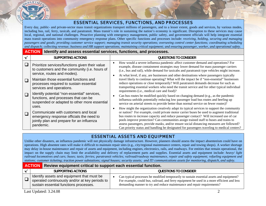

## ESSENTIAL SERVICES, FUNCTIONS, AND PROCESSES

Every day, public- and private-sector mass transit organizations transport millions of passengers, and to a lesser extent, goods and services, by various modes, including bus, rail, ferry, taxicab, and paratransit. Mass transit's role in sustaining the nation's economy is significant. Disruption to these services may cause local, regional, and national challenges. Proactive planning with emergency management, public safety, and government officials will help integrate essential mass transit operations into community emergency response plans. Other specific functions and processes include: *receiving, holding, securing and managing passengers and goods; providing customer service support; managing transit security operations; overseeing control center functions; coordinating scheduling and dispatch; collecting revenue; business and HR support operations; maintaining critical equipment; and ensuring passenger, worker, and operational safety.*

#### **ACTIONIdentify and assess essential services, functions, and processes.**

| SUPPORTING ACTIONS                                                                                                                            | QUESTIONS TO CONSIDER                                                                                                                                                                                                                                                                                                                                                                                                                                                                                                                                                |
|-----------------------------------------------------------------------------------------------------------------------------------------------|----------------------------------------------------------------------------------------------------------------------------------------------------------------------------------------------------------------------------------------------------------------------------------------------------------------------------------------------------------------------------------------------------------------------------------------------------------------------------------------------------------------------------------------------------------------------|
| Prioritize services/functions given their value<br>to customers and the community (i.e. hours of<br>service, routes and modes).               | How would a severe influenza pandemic affect customer demand and operations? For<br>example, disease containment strategies may lower demand for mass passenger carriers<br>(i.e., bus and rail), while demand for taxicabs and paratransit type vehicles might increase.                                                                                                                                                                                                                                                                                            |
| Maintain those essential functions and<br>processes required to sustain essential<br>services and operations.                                 | At what level, if any, are businesses and other destinations where passengers typically<br>travel likely to continue operating? What will the impact be if "non-essential" businesses<br>reduce operations or close temporarily? Will paratransit demands decrease for such as<br>transporting essential workers who need the transit service and for other typical individual<br>requirements (i.e., medical care and food)?                                                                                                                                        |
| Identify potential "non-essential" services,<br>functions, and processes that can be<br>suspended or adapted to other more essential<br>uses. | Can bus routes be modified quickly based on changing demand (e.g., as the pandemic<br>influenza unfolds potentially reducing low passenger load bus routes and beefing up<br>service on arterial streets to provide better than normal service on fewer routes)?                                                                                                                                                                                                                                                                                                     |
| Communicate with customers and local<br>emergency response officials the need to<br>jointly plan and prepare for an influenza<br>pandemic.    | How might the organization creatively adapt its typical services to support the community<br>or nation? For example, could private motor carrier buses be used to augment traditional<br>bus routes to increase capacity and reduce passenger contact? Will increased use of car<br>pools improve protection? Can communities assign trained staff to buses and trains to<br>assess passengers, provide masks, and/or ensure social distancing measures are followed?<br>Can priority status and handling be designated for passengers traveling to medical centers? |

## ESSENTIAL ASSETS AND EQUIPMENT

Unlike other disasters, an influenza pandemic will not physically damage infrastructure. However, planners should assess the impact absenteeism could have on operations. High absentee rates will make it difficult to maintain repair sites (e.g., city/regional maintenance centers, repair and towing shops). A worker shortage may delay in-house maintenance and repair of assets and equipment, including engines, electronics, rails, and roadways. For entities that remain operational, the impact on the supply chain may limit the availability and delivery of replacement parts and supplies. Essential assets and equipment include: *heavy/ light railroad locomotives and cars; buses; taxis; ferries; paratransit vehicles; railroad/roadway maintenance, repair and safety equipment; refueling equipment and stations; customer ticketing; traction power substations; signal houses; security assets; and IT/ communications assets for monitoring, dispatch, and safety.* 

#### **ACTION Review equipment critical to support each essential function.**

| SUPPORTING ACTIONS                                                                                                                      | <b>QUESTIONS TO CONSIDER</b>                                                                                                                                                                                                                                      |
|-----------------------------------------------------------------------------------------------------------------------------------------|-------------------------------------------------------------------------------------------------------------------------------------------------------------------------------------------------------------------------------------------------------------------|
| I dentify assets and equipment that must be<br>operated continuously and/or at key periods to<br>sustain essential functions processes. | Can typical processes be modified temporarily to sustain essential assets and equipment?<br>For example, could bus, railroad, and ferry equipment be used in a more efficient and less<br>demanding manner to try and reduce maintenance and repair requirements? |

Last Updated: 3.24.08 2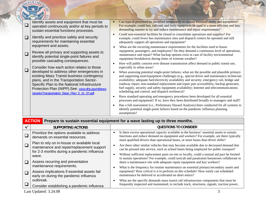| └      | Identify assets and equipment that must be<br>operated continuously and/or at key periods to<br>sustain essential functions processes.                                                                                                                                                   | Can typical processes be modified temporarily to sustain essential assets and equipment?<br>For example, could bus, railroad, and ferry equipment be used in a more efficient and less<br>demanding manner to try and reduce maintenance and repair requirements?                                                                                                                                                                                                                                                                        |
|--------|------------------------------------------------------------------------------------------------------------------------------------------------------------------------------------------------------------------------------------------------------------------------------------------|------------------------------------------------------------------------------------------------------------------------------------------------------------------------------------------------------------------------------------------------------------------------------------------------------------------------------------------------------------------------------------------------------------------------------------------------------------------------------------------------------------------------------------------|
| $\Box$ | Identify and prioritize safety and security<br>requirements for maintaining essential                                                                                                                                                                                                    | Could non-essential facilities be closed to consolidate operations and supplies? For<br>example, could fewer bus maintenance sites and dispatch centers be operated and still<br>adequately support all operations and equipment?                                                                                                                                                                                                                                                                                                        |
| $\Box$ | equipment and assets.<br>Review all primary and supporting assets to<br>identify potential single-point failures and                                                                                                                                                                     | What are the recurring maintenance requirements for the facilities used to house<br>$\bullet$<br>equipment, passengers, and employees? Do they demand a continuous level of operations,<br>maintenance and repair? What backup options exist in case of facility environmental<br>equipment breakdowns during times of extreme weather?                                                                                                                                                                                                  |
| $\Box$ | possible cascading consequences.<br>Consider how each action relates to those                                                                                                                                                                                                            | How will public concern over disease transmission affect demand in public transit use,<br>especially in urban areas?                                                                                                                                                                                                                                                                                                                                                                                                                     |
|        | developed to address other emergencies in<br>existing Mass Transit business contingency<br>plans, and in the Transportation Sector-<br>Specific Plan to the National Infrastructure<br>Protection Plan (NIPP).See: www.dhs.gov/xlibrary<br>/assets/Transportation_Base_Plan_5_21_07.pdf. | When assessing potential single-point failures, what are the possible and plausible primary<br>and supporting asset/equipment challenges (e.g., special driver and maintenance technician<br>availability; adequate fuel/electricity availability and security; emergency rail, bridge and<br>roadway repair; non-standard replacement and repair part accessibility; backup generator,<br>fuel supply, security and safety equipment availability; Internet and telecommunications<br>scheduling and control; and dispatch resilience)? |
|        |                                                                                                                                                                                                                                                                                          | Have standard operating and emergency procedures been developed for all essential<br>processes and equipment? If so, have they been distributed broadly to managers and staff?                                                                                                                                                                                                                                                                                                                                                           |
|        |                                                                                                                                                                                                                                                                                          | Has a full assessment (i.e., Preliminary Hazard Analysis) been conducted for all systems to<br>identify potential single-point failures based on the pandemic influenza planning<br>assumptions?                                                                                                                                                                                                                                                                                                                                         |

| <b>ACTION</b> |                                                                                                                                                                                                                                                                                                              | Prepare to sustain essential equipment for a wave lasting up to three months.                                                                                                                                                                                             |  |  |  |
|---------------|--------------------------------------------------------------------------------------------------------------------------------------------------------------------------------------------------------------------------------------------------------------------------------------------------------------|---------------------------------------------------------------------------------------------------------------------------------------------------------------------------------------------------------------------------------------------------------------------------|--|--|--|
|               | SUPPORTING ACTIONS                                                                                                                                                                                                                                                                                           | <b>QUESTIONS TO CONSIDER</b>                                                                                                                                                                                                                                              |  |  |  |
|               | Prioritize the options available to address<br>demands on essential resources.                                                                                                                                                                                                                               | Is there excess operational capacity available in the business' essential assets to sustain<br>functions and reduce demand on equipment and workers? For example, are there typically<br>more qualified drivers than operational buses, or more buses than driver shifts? |  |  |  |
|               | Plan to rely on in-house or available local<br>maintenance and repair/replacement support<br>for 2-3 months during a pandemic influenza<br>wave.<br>Assess recurring and preventative<br>maintenance requirements.<br>Assess implications if essential assets fail<br>early on during the pandemic influenza | Are there other similar vehicles that may become available due to decreased demand that<br>can be pressed into service, such as school buses being employed for public transport?                                                                                         |  |  |  |
| $\Box$        |                                                                                                                                                                                                                                                                                                              | Without sufficient replacement parts on-site or locally, could a mutual aid pact be formed<br>to sustain operations? For example, could taxicab and paratransit businesses collaborate to<br>share a maintenance site with adequate repair equipment and key workers?     |  |  |  |
| $\Box$        |                                                                                                                                                                                                                                                                                                              | What is the frequency for routine maintenance on essential primary/secondary assets and<br>equipment? How critical is it to perform on this schedule? How easily can scheduled<br>maintenance be deferred or accelerated on short notice?                                 |  |  |  |
|               | outbreak.<br>Consider establishing a pandemic influenza                                                                                                                                                                                                                                                      | What are the specific demands mass transit rail infrastructure components that must be<br>frequently inspected and maintained, to include track, structures, signals, traction power,                                                                                     |  |  |  |
|               | Last Updated: 3.24.08                                                                                                                                                                                                                                                                                        |                                                                                                                                                                                                                                                                           |  |  |  |

DEPARTM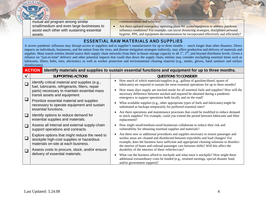mutual aid program among similar small/medium and even large businesses to assist each other with sustaining essential assets.

communications and vehicles?

• Are there updated emergency operating plans for assets/equipment to address pandemic influenza conditions? For example, can social distancing strategies, disciplined personal hygiene, PPE, and equipment decontamination be incorporated effectively and efficiently?

#### ESSENTIAL RAW MATERIALS AND SUPPLIES

A severe pandemic influenza may disrupt access to suppliers and to supplier's manufacturers for up to three months – much longer than other disasters. Direct impacts on individuals, businesses, and the nation from the virus, and disease mitigation strategies indirectly, may affect production and delivery of materials and supplies. Mass transit entities should assess their supply chain networks from their in-house storage capacity to all  $1<sup>st</sup>$ ,  $2<sup>nd</sup>$ , and beyond distributor levels. Given a reliance on "just-in-time" delivery and other potential impacts that could shut down the supply chain, entities may consider stockpiling essential items such as lubricants, filters, belts, tires, electronics as well as worker protection and environmental cleaning material (e.g., masks, gloves, hand sanitizer and surface disinfectants).

| <b>ACTION</b> Identify materials and supplies to sustain essential functions and equipment for up to three months. |  |
|--------------------------------------------------------------------------------------------------------------------|--|
|                                                                                                                    |  |

|        | SUPPORTING ACTIONS                                                                                                                                                                | QUESTIONS TO CONSIDER                                                                                                                                                                                                                                                                                                                                                             |
|--------|-----------------------------------------------------------------------------------------------------------------------------------------------------------------------------------|-----------------------------------------------------------------------------------------------------------------------------------------------------------------------------------------------------------------------------------------------------------------------------------------------------------------------------------------------------------------------------------|
|        | Identify critical material and supplies (e.g.,<br>fuel, lubricants, refrigerants, filters, repair<br>parts) necessary to maintain essential mass<br>transit assets and equipment. | How much of which materials/supplies (e.g., gallons of gasoline/diesel, quarts of<br>$\bullet$<br>lubricants) are required to sustain the most essential operations for up to three months?                                                                                                                                                                                       |
|        |                                                                                                                                                                                   | How many days supply are stocked onsite for all essential fuels and supplies? How will the<br>necessary difference between stocked and required be obtained during a pandemic<br>emergency to support operations both locally and on the road?                                                                                                                                    |
|        | Prioritize essential material and supplies<br>necessary to operate equipment and sustain<br>essential functions.                                                                  | What available supplies (e.g., other appropriate types of fuels and lubricants) might be<br>٠<br>substituted as backups temporarily for preferred essential ones?                                                                                                                                                                                                                 |
| $\Box$ | Identify options to reduce demand for<br>essential supplies and materials.                                                                                                        | Are there operations and maintenance processes that could be modified to reduce demand<br>to stock supplies? For example, could you extend the period between lubricants and filter<br>replacement?                                                                                                                                                                               |
| $\Box$ | Assess all internal and external supply-chain<br>support operations and contracts.                                                                                                | How might small/medium-sized businesses collaborate to reduce their risk and<br>$\bullet$<br>vulnerability for obtaining essential supplies and materials?                                                                                                                                                                                                                        |
|        | Explore options that might reduce the need to<br>stockpile high-cost supplies or hazardous<br>materials on-site at each business.                                                 | Are there new or additional procedures and supplies necessary to ensure passenger and<br>$\bullet$<br>worker areas are cleaned and disinfected between trips/shifts and load changes? For<br>example, does the business have sufficient and appropriate cleaning solutions to disinfect<br>the interior of buses and railroad passenger cars between shifts? Will this affect the |
| $\Box$ | Assess costs to procure, stock, and/or ensure<br>delivery of essential materials.                                                                                                 | durability of the interiors of these vehicles/cars?<br>What can the business afford to stockpile and what must it stockpile? How might these<br>$\bullet$                                                                                                                                                                                                                         |
|        |                                                                                                                                                                                   | additional extraordinary costs be funded (e.g., retained earnings, special disaster fund,<br>and/or government support)?                                                                                                                                                                                                                                                          |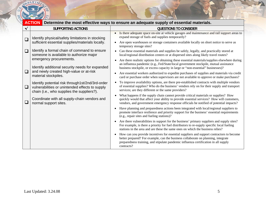

| $\cdots$     | $\sim$ $\sim$ $\sim$<br><b>ACTION</b>                                                                                                             | Determine the most effective ways to ensure an adequate supply of essential materials.                                                                                                                                                                                                |
|--------------|---------------------------------------------------------------------------------------------------------------------------------------------------|---------------------------------------------------------------------------------------------------------------------------------------------------------------------------------------------------------------------------------------------------------------------------------------|
| $\checkmark$ | <b>SUPPORTING ACTIONS</b>                                                                                                                         | <b>QUESTIONS TO CONSIDER</b>                                                                                                                                                                                                                                                          |
| $\Box$       | Identify physical/safety limitations in stocking<br>sufficient essential supplies/materials locally.                                              | Is there adequate space on-site at vehicle garages and maintenance and rail support areas to<br>expand storage of fuels and supplies temporarily?<br>Are open warehouses or storage containers available locally on short notice to serve as                                          |
| $\Box$       | Identify a formal chain of command to ensure                                                                                                      | temporary storage sites?<br>Can these essential materials and supplies be safely, legally, and practically stored at<br>$\bullet$                                                                                                                                                     |
|              | someone is available to authorize major                                                                                                           | local/regional distribution centers or at dispersed sites along likely travel routes?                                                                                                                                                                                                 |
|              | emergency procurements.<br>Identify additional security needs for expanded                                                                        | Are there realistic options for obtaining these essential materials/supplies elsewhere during<br>$\bullet$<br>an influenza pandemic (e.g., Fed/State/local government stockpile, mutual assistance<br>business stockpile, or excess capacity in large or "non-essential" businesses)? |
| $\Box$       | and newly created high-value or at-risk<br>material stockpiles.                                                                                   | Are essential workers authorized to expedite purchases of supplies and materials via credit<br>card or purchase order when supervisors are not available to approve or make purchases?                                                                                                |
| $\Box$       | Identify potential risk through1st/2nd/3rd-order<br>vulnerabilities or unintended effects to supply<br>chain (i.e., who supplies the suppliers?). | To improve availability options, are there pre-established contracts with multiple vendors<br>of essential supplies? Who do the business' vendors rely on for their supply and transport<br>services; are they different or the same providers?                                       |
| $\Box$       | Coordinate with all supply-chain vendors and<br>normal support sites.                                                                             | What happens if the supply chain cannot provide critical materials or supplies? How<br>quickly would that affect your ability to provide essential services? How will customers,<br>vendors, and government emergency response officials be notified of potential impacts?            |
|              |                                                                                                                                                   | Have planning and preparedness actions been integrated with local/regional suppliers to<br>promote interface resilience and priority support for the business' essential requirements<br>(e.g., repair sites and fueling stations)?                                                   |
|              |                                                                                                                                                   | Are there vulnerabilities in support for the business' primary suppliers and supply sites?<br>For example, is there a priority for fuel distributors to re-supply specific local fueling<br>stations in the area and are these the same ones on which the business relies?            |
|              |                                                                                                                                                   | How can you provide incentives for essential suppliers and support contractors to become<br>better prepared? For example, can the business collaborate on planning, integrate<br>preparedness training, and stipulate pandemic influenza certification in all supply<br>contracts?    |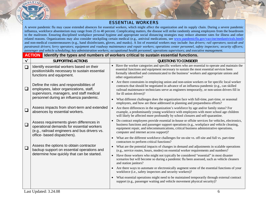

#### ESSENTIAL WORKERS

A severe pandemic flu may cause extended absences for essential workers, which might affect the organization and its supply chain. During a severe pandemic influenza, workforce absenteeism may range from 25 to 40 percent. Complicating matters, the disease will strike randomly among employees from the boardroom to the mailroom. Ensuring disciplined workplace personal hygiene and appropriate social distancing strategies may reduce absentee rates for illness and other related reasons. Organizations may also consider stockpiling certain medical (e.g., antiviral medications, see [www.pandemicflu.gov/vaccine/medantivirals.html](http://www.pandemicflu.gov/vaccine/medantivirals.html)) and non-medical countermeasures (e.g., hand disinfectants, gloves, and masks). A list of essential workers may include: *bus drivers; rail operators*; *taxicab and paratransit drivers*; f*erry operators*; *equipment and roadway maintenance and repair workers*; *operations center personnel, safety inspectors; security officers;*  p*assenger and vehicle scheduling; key administration workers; occupational health personnel;* <sup>o</sup>*perations supervisors; and executive management.* 

|              | <b>ACTION</b>                                                                                                                                                         | Identify the types and numbers of workers critical to sustain essential functions.                                                                                                                                                                                                                                                             |
|--------------|-----------------------------------------------------------------------------------------------------------------------------------------------------------------------|------------------------------------------------------------------------------------------------------------------------------------------------------------------------------------------------------------------------------------------------------------------------------------------------------------------------------------------------|
| $\checkmark$ | <b>SUPPORTING ACTIONS</b>                                                                                                                                             | <b>QUESTIONS TO CONSIDER</b>                                                                                                                                                                                                                                                                                                                   |
| $\Box$       | Identify essential workers based on their<br>position/skills necessary to sustain essential<br>functions and equipment.                                               | • Have the worker categories and specific workers who are essential to operate and maintain the<br>essential functions and equipment necessary to sustain the most essential services been<br>formally identified and communicated to the business' workers and appropriate unions and<br>other organizations?                                 |
| $\Box$       | Define the roles and responsibilities of<br>employees, labor organizations, staff,<br>supervisors, managers, and staff medical                                        | Are there constraints in employing union and non-union workers or for specific local worker<br>contracts that should be negotiated in advance of an influenza pandemic (e.g., can skilled<br>railroad maintenance technicians serve as engineers temporarily, or non-union drivers fill in<br>for ill union drivers)?                          |
|              | personnel during an influenza pandemic.                                                                                                                               | What different challenges does the organization face with full-time, part-time, or seasonal<br>$\bullet$<br>employees, and how are these addressed in planning and preparedness efforts?                                                                                                                                                       |
| $\Box$       | Assess impacts from short-term and extended<br>absences by essential workers.                                                                                         | Are there differences in the organization's workforce by age and/or family status? For<br>$\bullet$<br>example, a predominantly young workforce with employees with more school age children<br>will likely be affected more profoundly by school closures and self-quarantine.                                                                |
| $\Box$       | Assess requirements given differences in<br>operational demands for essential workers<br>(e.g., railroad engineers and bus drivers vs.<br>office- based dispatchers). | Do contract employees provide essential in-house or offsite services for vehicles, electronics,<br>$\bullet$<br>business functions and passenger support operations (e.g., workplace and vehicle cleaning,<br>equipment repair, and telecommunications, critical business administrative operations,<br>computer and internet access support)? |
|              |                                                                                                                                                                       | What are the different workforce challenges for on-site vs. off-site and full vs. part-time<br>contractors to perform critical functions?                                                                                                                                                                                                      |
| $\Box$       | Assess the options to obtain contractor<br>$\bullet$<br>backup support on essential operations and<br>determine how quickly that can be started.<br>$\bullet$         | What are the potential impacts of changes in demand and adjustments in scalable operations<br>(e.g., service routes, hours, modes) on essential worker requirements and numbers?                                                                                                                                                               |
|              |                                                                                                                                                                       | Have those workers who might not typically be considered "essential" in most disaster<br>scenarios but will become so during a pandemic flu been assessed, such as vehicle cleaners<br>and station janitors?                                                                                                                                   |
|              |                                                                                                                                                                       | Are there ways to automate or electronically augment some of the essential functions of your<br>$\bullet$<br>workforce (i.e., safety inspectors and security workers)?                                                                                                                                                                         |
|              |                                                                                                                                                                       | What essential operations might need to be maintained temporarily through external contract<br>support (e.g., passenger waiting and vehicle movement physical security)?                                                                                                                                                                       |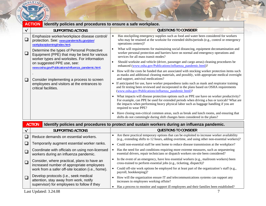

|        | $\sim$ $\sim$<br><b>ACTION</b><br>Identify policies and procedures to ensure a safe workplace.                                            |                                                                                                                                                                                                                                               |                                                                                                                                                                                                                                                                                                         |  |  |  |
|--------|-------------------------------------------------------------------------------------------------------------------------------------------|-----------------------------------------------------------------------------------------------------------------------------------------------------------------------------------------------------------------------------------------------|---------------------------------------------------------------------------------------------------------------------------------------------------------------------------------------------------------------------------------------------------------------------------------------------------------|--|--|--|
| ✔      | SUPPORTING ACTIONS                                                                                                                        |                                                                                                                                                                                                                                               | <b>QUESTIONS TO CONSIDER</b>                                                                                                                                                                                                                                                                            |  |  |  |
| └      | Emphasize worker/workplace disease control/<br>protection. See: www.pandemicflu.gov/plan/<br>workplaceplanning/index.html.                |                                                                                                                                                                                                                                               | Has stockpiling emergency supplies such as food and water been considered for workers<br>who may be retained at the worksite for extended shifts/periods (e.g., control or emergency<br>operations centers)?                                                                                            |  |  |  |
| $\Box$ | Determine the types of Personal Protective<br>Equipment (PPE) that may be best for various<br>worker types and worksites. For information |                                                                                                                                                                                                                                               | What will requirements for maintaining social distancing, equipment decontamination and<br>worker personal protection and barriers have on normal and emergency operations and<br>services for all mass transit modes?                                                                                  |  |  |  |
|        | on suggested PPE use, see:<br>www.osha.gov/Publications/influenza_pandemic.html.                                                          | $\bullet$                                                                                                                                                                                                                                     | Should worksite and vehicle (driver, passenger and cargo areas) cleaning procedures be<br>enhanced (www.osha.gov/Publications/influenza_pandemic.html)?                                                                                                                                                 |  |  |  |
| ⊔      | $\bullet$<br>Consider implementing a process to screen<br>$\bullet$<br>employees and visitors at the entrances to<br>critical facilities. |                                                                                                                                                                                                                                               | How will the costs be funded that are associated with stocking worker protection items such<br>as masks and additional cleaning materials, and possibly, with appropriate medical oversight<br>and support, antiviral medications?                                                                      |  |  |  |
|        |                                                                                                                                           | If anticipated for use, have worker preparedness tasks such as mask and respirator training<br>and fit testing been reviewed and incorporated in the plans based on OSHA requirements<br>(www.osha.gov/Publications/influenza_pandemic.html)? |                                                                                                                                                                                                                                                                                                         |  |  |  |
|        |                                                                                                                                           |                                                                                                                                                                                                                                               | What impacts will disease protection options such as PPE use have on worker productivity?<br>For example, can PPE be used for extended periods when driving a bus or taxicab? What are<br>the impacts when performing heavy physical labor such as baggage handling if you are<br>required to wear PPE? |  |  |  |
|        |                                                                                                                                           | $\bullet$                                                                                                                                                                                                                                     | Have closing non-critical common areas, such as break and lunch rooms, and ensuring that<br>shifts do not commingle during shift changes been considered in the plans?                                                                                                                                  |  |  |  |

| <b>ACTION</b><br>Identify policies and procedures to protect and sustain workers during an influenza pandemic. |  |                                                                                                                                                                                              |  |  |
|----------------------------------------------------------------------------------------------------------------|--|----------------------------------------------------------------------------------------------------------------------------------------------------------------------------------------------|--|--|
| <b>SUPPORTING ACTIONS</b>                                                                                      |  | QUESTIONS TO CONSIDER                                                                                                                                                                        |  |  |
| Reduce demands on essential workers.                                                                           |  | Are there practical temporary options that can be exploited to increase worker availability<br>(e.g., extending shifts to 12 hours, adding overtime, and using other non-essential workers)? |  |  |
| Temporarily augment essential worker ranks.                                                                    |  | • Could non-essential staff be sent home to reduce disease transmission at the workplace?                                                                                                    |  |  |
| Coordinate with officials on using non-licensed<br>workers during an influenza pandemic.                       |  | Has the need for and conditions requiring more extreme measures, such as sequestering<br>essential drivers, repair technicians or dispatch workers on-site been considered?                  |  |  |
| Consider, where practical, plans to have an<br>increased number of appropriate employees                       |  | In the event of an emergency, have less essential workers (e.g., mailroom workers) been<br>cross-trained to perform essential jobs (e.g., ticketing, dispatch)?                              |  |  |
| work from a safer off-site location (i.e., home).                                                              |  | Could off-site work options be employed for at least part of the organization's staff (e.g.,<br>payroll, bookkeeping)?                                                                       |  |  |
| Develop protocols (i.e., seek medical<br>attention, stay away from work, notify                                |  | How will the organization ensure IT and telecommunications systems can support any<br>increases in employees working offsite?                                                                |  |  |
| supervisor) for employees to follow if they                                                                    |  | Has a process to monitor and support ill employees and their families been established?                                                                                                      |  |  |
| Last Updated: 3.24.08                                                                                          |  |                                                                                                                                                                                              |  |  |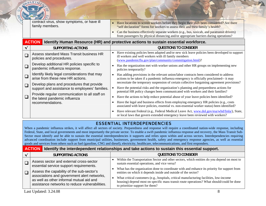| contract virus, show symptoms, or have ill<br>family members. | Have locations to screen workers before they begin their shift been considered? Are there<br>"self declaration" forms for workers to assess their and their family's health?         |
|---------------------------------------------------------------|--------------------------------------------------------------------------------------------------------------------------------------------------------------------------------------|
|                                                               | Can the business effectively separate workers (e.g., bus, taxicab, and paratransit drivers)<br>from passengers by physical distancing and/or appropriate barriers during operations? |

|        | <b>ACTION</b><br>Identify Human Resource (HR) and protective actions to sustain essential workforce. |                                                                                                                                                                                                                  |
|--------|------------------------------------------------------------------------------------------------------|------------------------------------------------------------------------------------------------------------------------------------------------------------------------------------------------------------------|
|        | SUPPORTING ACTIONS                                                                                   | QUESTIONS TO CONSIDER                                                                                                                                                                                            |
|        | Assess standard Mass Transit business HR<br>policies and procedures.                                 | Have existing policies been adapted and/or new sick leave policies been developed to support<br>ill workers and well workers with ill family members<br>(www.pandemicflu.gov/plan/community/commitigation.html)? |
|        | Develop additional HR policies specific to<br>pandemic influenza response.                           | Has the organization met with worker unions and other HR groups on implementing new<br>policies temporarily?                                                                                                     |
|        | Identify likely legal considerations that may<br>arise from these new HR actions.                    | Has adding provisions in the relevant union/labor contracts been considered to address<br>actions to be taken if a pandemic influenza emergency is officially proclaimed-- it may                                |
| $\Box$ | Develop plans and procedures that provide<br>support and assistance to employees' families.          | necessitate the temporary suspension of certain collective bargaining agreement provisions?<br>Have the potential risks and the organization's planning and preparedness actions for                             |
|        | Provide regular communication to all staff on<br>the latest pandemic influenza                       | potential HR policy changes been communicated with workers and their families?<br>Have the actions to help reduce potential abuse of your leave policies been identified?                                        |
|        | recommendations.                                                                                     | Have the legal and business effects from employing emergency HR policies (e.g., costs<br>associated with leave policies, essential vs. non-essential worker status) been identified?                             |
|        |                                                                                                      | Have relevant Federal (e.g., Federal Medical Leave Act, www.dol.gov/esa/whd/fmla/), State,<br>or local laws that govern extended emergency leave been reviewed with workers?                                     |

## ESSENTIAL INTERDEPENDENCIES

When a pandemic influenza strikes, it will affect all sectors of society. Preparedness and response will require a coordinated nation-wide response, including Federal, State, and local governments and most importantly the private sector. To enable a swift pandemic influenza response and recovery, the Mass Transit Sub-Sector must identify and be able to sustain the essential interdependencies it supports and relies upon within and across sectors. Interdependencies requiring advanced coordination include support from municipal utilities, businesses, government health, safety and emergency response agencies, as well as essential goods and services from others such as fuel (gasoline, CNG and diesel), electricity, healthcare, telecommunications, and first responders.

#### **ACTIONIdentify the interdependent relationships and take actions to sustain this essential support.**

| <b>SUPPORTING ACTIONS</b>                                                                                                                                                              | <b>QUESTIONS TO CONSIDER</b>                                                                                                                                                                                                                                                                                                                                                             |
|----------------------------------------------------------------------------------------------------------------------------------------------------------------------------------------|------------------------------------------------------------------------------------------------------------------------------------------------------------------------------------------------------------------------------------------------------------------------------------------------------------------------------------------------------------------------------------------|
| Assess sector and external cross-sector<br>essential service support requirements.                                                                                                     | Within the Transportation Sector and other sectors, which entities do you depend on most to<br>sustain essential operations, and vice versa?                                                                                                                                                                                                                                             |
| Assess the capability of the sub-sector's<br>associations and government alert networks,<br>as well as other informal mutual aid and<br>assistance networks to reduce vulnerabilities. | What has the organization done to coordinate with and enhance its priority for support from<br>entities on which it depends inside and outside of the sector?<br>What critical customers (e.g., hospitals, critical manufacturing facilities, low-income<br>housing) depend most on specific mass transit route operations? What should/could be done<br>to prioritize support for them? |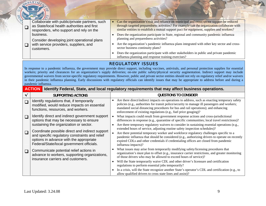|                  | <b>OEPARTMA</b>                                                                                                                                                                                                                                                                                                                                                                                                                                                                                                                                                                                                                                                                                                                                                                                                                             |                                                                                                                                                                                                                                                                                                                                                                                                                                                                                                                                                                                                                                                                                                                 |  |  |  |  |  |
|------------------|---------------------------------------------------------------------------------------------------------------------------------------------------------------------------------------------------------------------------------------------------------------------------------------------------------------------------------------------------------------------------------------------------------------------------------------------------------------------------------------------------------------------------------------------------------------------------------------------------------------------------------------------------------------------------------------------------------------------------------------------------------------------------------------------------------------------------------------------|-----------------------------------------------------------------------------------------------------------------------------------------------------------------------------------------------------------------------------------------------------------------------------------------------------------------------------------------------------------------------------------------------------------------------------------------------------------------------------------------------------------------------------------------------------------------------------------------------------------------------------------------------------------------------------------------------------------------|--|--|--|--|--|
|                  |                                                                                                                                                                                                                                                                                                                                                                                                                                                                                                                                                                                                                                                                                                                                                                                                                                             |                                                                                                                                                                                                                                                                                                                                                                                                                                                                                                                                                                                                                                                                                                                 |  |  |  |  |  |
| $\Box$<br>$\Box$ | Collaborate with public/private partners, such<br>as State/local health authorities and first<br>responders, who support and rely on the<br>business.<br>Consider developing joint operational plans<br>with service providers, suppliers, and<br>customers.                                                                                                                                                                                                                                                                                                                                                                                                                                                                                                                                                                                | Can the organization's risk and reliance on municipal and cross-sector support be reduced<br>through targeted preparedness activities? For example can the organization collaborate with<br>similar entities to establish a mutual support pact for equipment, supplies and workers?<br>Does the organization participate in State, regional and community pandemic influenza<br>planning and preparedness activities?<br>• Are the organization's pandemic influenza plans integrated with other key sector and cross-<br>sector business continuity plans?<br>Does the organization participate with other stakeholders in public and private pandemic<br>influenza planning and response training exercises? |  |  |  |  |  |
|                  | <b>REGULATORY ISSUES</b><br>In response to a pandemic influenza, the government may provide direct support, including vaccines, antivirals, and personal protection supplies for essential<br>workers; priority and clearances for an organization's supply deliveries; on-site public safety/physical security augmentation. Indirect support may include<br>governmental waivers from sector-specific regulatory requirements. However, public and private sector entities should not rely on regulatory relief and/or waivers<br>in their pandemic influenza planning. Early discussions with regulatory officials can identify issues that may be appropriate to address before and during a<br>pandemic influenza.<br>Identify Federal, State, and local regulatory requirements that may affect business operations.<br><b>ACTION</b> |                                                                                                                                                                                                                                                                                                                                                                                                                                                                                                                                                                                                                                                                                                                 |  |  |  |  |  |
| $\checkmark$     | <b>SUPPORTING ACTIONS</b>                                                                                                                                                                                                                                                                                                                                                                                                                                                                                                                                                                                                                                                                                                                                                                                                                   | <b>QUESTIONS TO CONSIDER</b>                                                                                                                                                                                                                                                                                                                                                                                                                                                                                                                                                                                                                                                                                    |  |  |  |  |  |
| $\Box$           | Identify regulations that, if temporarily<br>modified, would reduce impacts on essential<br>functions, resources, and workers.                                                                                                                                                                                                                                                                                                                                                                                                                                                                                                                                                                                                                                                                                                              | Are there direct/indirect impacts on operations to address, such as enacting temporary safety<br>policies (e.g., authorities for transit police/security to manage ill passengers and workers;<br>mandated social distancing procedures for bus and rail operations); and enhancing<br>enforcement of existing regulations (e.g., fuel price gouging)?                                                                                                                                                                                                                                                                                                                                                          |  |  |  |  |  |
| $\Box$           | Identify direct and indirect government support<br>options that may be necessary to ensure<br>sustaining the organization or sector.                                                                                                                                                                                                                                                                                                                                                                                                                                                                                                                                                                                                                                                                                                        | What impacts could result from government response actions and cross-jurisdictional<br>$\bullet$<br>differences in response (e.g., quarantine of specific communities; local travel restrictions)?<br>Are there temporary regulatory waivers to consider in sustaining essential operations (e.g.,<br>$\bullet$                                                                                                                                                                                                                                                                                                                                                                                                 |  |  |  |  |  |
| $\Box$           | Coordinate possible direct and indirect support<br>and specific regulatory constraints and relief<br>options in advance with the appropriate                                                                                                                                                                                                                                                                                                                                                                                                                                                                                                                                                                                                                                                                                                | extended hours of service, adjusting routine safety inspection schedules)?<br>Are there potential temporary worker and workforce regulatory challenges specific to a<br>$\bullet$<br>pandemic influenza that should be considered (e.g., authorizing drivers to operate on recently<br>expired CDLs and other credentials if credentialing offices are closed from pandemic                                                                                                                                                                                                                                                                                                                                     |  |  |  |  |  |
|                  | Federal/State/local government officials.                                                                                                                                                                                                                                                                                                                                                                                                                                                                                                                                                                                                                                                                                                                                                                                                   | influenza impacts)?                                                                                                                                                                                                                                                                                                                                                                                                                                                                                                                                                                                                                                                                                             |  |  |  |  |  |
| $\Box$           | Communicate potential relief actions in<br>advance to workers, supporting organizations,<br>insurance carriers and customers.                                                                                                                                                                                                                                                                                                                                                                                                                                                                                                                                                                                                                                                                                                               | What issues may arise from temporarily modifying safety/licensing procedures that<br>$\bullet$<br>organization's must plan to offset (e.g., insurance carrier restrictions, and greater monitoring<br>of those drivers who may be allowed to exceed hours of service)?<br>• Will the State temporarily waive CDL and other driver's licensure and certification<br>regulations to perform essential jobs temporarily?<br>In a crisis, will the State recognize another State's operator's CDL and certification (e.g., to                                                                                                                                                                                       |  |  |  |  |  |